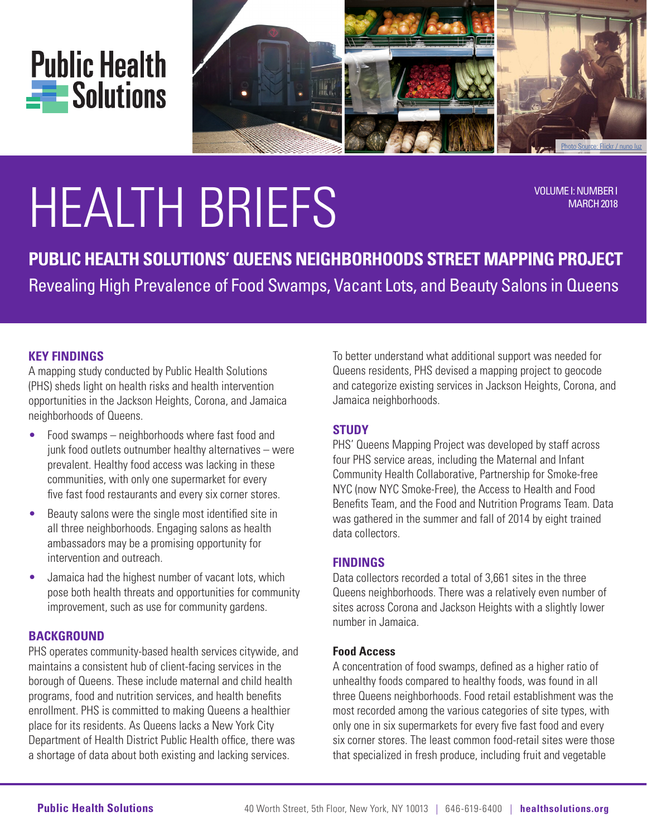



# HEALTH BRIEFS VOLUME I: NUMBER I

MARCH 2018

**PUBLIC HEALTH SOLUTIONS' QUEENS NEIGHBORHOODS STREET MAPPING PROJECT** Revealing High Prevalence of Food Swamps, Vacant Lots, and Beauty Salons in Queens

# **KEY FINDINGS**

A mapping study conducted by Public Health Solutions (PHS) sheds light on health risks and health intervention opportunities in the Jackson Heights, Corona, and Jamaica neighborhoods of Queens.

- Food swamps neighborhoods where fast food and junk food outlets outnumber healthy alternatives – were prevalent. Healthy food access was lacking in these communities, with only one supermarket for every five fast food restaurants and every six corner stores.
- Beauty salons were the single most identified site in all three neighborhoods. Engaging salons as health ambassadors may be a promising opportunity for intervention and outreach.
- Jamaica had the highest number of vacant lots, which pose both health threats and opportunities for community improvement, such as use for community gardens.

# **BACKGROUND**

PHS operates community-based health services citywide, and maintains a consistent hub of client-facing services in the borough of Queens. These include maternal and child health programs, food and nutrition services, and health benefits enrollment. PHS is committed to making Queens a healthier place for its residents. As Queens lacks a New York City Department of Health District Public Health office, there was a shortage of data about both existing and lacking services.

To better understand what additional support was needed for Queens residents, PHS devised a mapping project to geocode and categorize existing services in Jackson Heights, Corona, and Jamaica neighborhoods.

# **STUDY**

PHS' Queens Mapping Project was developed by staff across four PHS service areas, including the Maternal and Infant Community Health Collaborative, Partnership for Smoke-free NYC (now NYC Smoke-Free), the Access to Health and Food Benefits Team, and the Food and Nutrition Programs Team. Data was gathered in the summer and fall of 2014 by eight trained data collectors.

# **FINDINGS**

Data collectors recorded a total of 3,661 sites in the three Queens neighborhoods. There was a relatively even number of sites across Corona and Jackson Heights with a slightly lower number in Jamaica.

## **Food Access**

A concentration of food swamps, defined as a higher ratio of unhealthy foods compared to healthy foods, was found in all three Queens neighborhoods. Food retail establishment was the most recorded among the various categories of site types, with only one in six supermarkets for every five fast food and every six corner stores. The least common food-retail sites were those that specialized in fresh produce, including fruit and vegetable